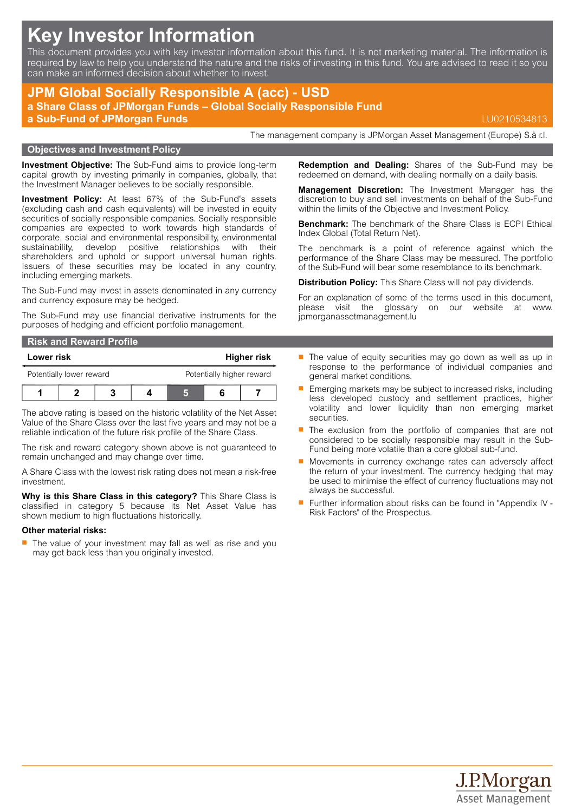# **Key Investor Information**

This document provides you with key investor information about this fund. It is not marketing material. The information is required by law to help you understand the nature and the risks of investing in this fund. You are advised to read it so you can make an informed decision about whether to invest.

## **JPM Global Socially Responsible A (acc) - USD a Share Class of JPMorgan Funds – Global Socially Responsible Fund**

**a Sub-Fund of JPMorgan Funds** LU0210534813

The management company is JPMorgan Asset Management (Europe) S.à r.l.

#### **Objectives and Investment Policy**

**Investment Objective:** The Sub-Fund aims to provide long-term capital growth by investing primarily in companies, globally, that the Investment Manager believes to be socially responsible.

**Investment Policy:** At least 67% of the Sub-Fund's assets (excluding cash and cash equivalents) will be invested in equity securities of socially responsible companies. Socially responsible companies are expected to work towards high standards of corporate, social and environmental responsibility, environmental sustainability, develop positive relationships with their shareholders and uphold or support universal human rights. Issuers of these securities may be located in any country, including emerging markets.

The Sub-Fund may invest in assets denominated in any currency and currency exposure may be hedged.

The Sub-Fund may use financial derivative instruments for the purposes of hedging and efficient portfolio management.

| <b>Risk and Reward Profile</b> |            |  |  |                           |             |  |  |
|--------------------------------|------------|--|--|---------------------------|-------------|--|--|
|                                | Lower risk |  |  |                           | Higher risk |  |  |
| Potentially lower reward       |            |  |  | Potentially higher reward |             |  |  |
|                                |            |  |  |                           |             |  |  |

The above rating is based on the historic volatility of the Net Asset Value of the Share Class over the last five years and may not be a reliable indication of the future risk profile of the Share Class.

The risk and reward category shown above is not guaranteed to remain unchanged and may change over time.

A Share Class with the lowest risk rating does not mean a risk-free investment.

**Why is this Share Class in this category?** This Share Class is classified in category 5 because its Net Asset Value has shown medium to high fluctuations historically.

#### **Other material risks:**

 $\blacksquare$  The value of your investment may fall as well as rise and you may get back less than you originally invested.

**Redemption and Dealing:** Shares of the Sub-Fund may be redeemed on demand, with dealing normally on a daily basis.

**Management Discretion:** The Investment Manager has the discretion to buy and sell investments on behalf of the Sub-Fund within the limits of the Objective and Investment Policy.

**Benchmark:** The benchmark of the Share Class is ECPI Ethical Index Global (Total Return Net).

The benchmark is a point of reference against which the performance of the Share Class may be measured. The portfolio of the Sub-Fund will bear some resemblance to its benchmark.

**Distribution Policy:** This Share Class will not pay dividends.

For an explanation of some of the terms used in this document, please visit the glossary on our website at [www.](www.jpmorganassetmanagement.lu) [jpmorganassetmanagement.lu](www.jpmorganassetmanagement.lu)

- $\blacksquare$  The value of equity securities may go down as well as up in response to the performance of individual companies and general market conditions.
- **Emerging markets may be subject to increased risks, including** less developed custody and settlement practices, higher volatility and lower liquidity than non emerging market securities.
- $\blacksquare$  The exclusion from the portfolio of companies that are not considered to be socially responsible may result in the Sub-Fund being more volatile than a core global sub-fund.
- Movements in currency exchange rates can adversely affect the return of your investment. The currency hedging that may be used to minimise the effect of currency fluctuations may not always be successful.
- Further information about risks can be found in "Appendix IV -Risk Factors" of the Prospectus.